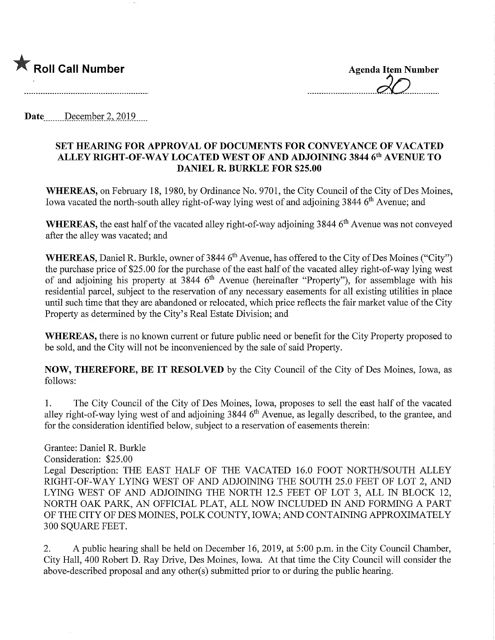

Date December 2, 2019

## SET HEARING FOR APPROVAL OF DOCUMENTS FOR CONVEYANCE OF VACATED ALLEY RIGHT-OF-WAY LOCATED WEST OF AND ADJOINING 3844 6<sup>th</sup> AVENUE TO DANIEL R. BURKLE FOR \$25.00

WHEREAS, on February 18, 1980, by Ordinance No. 9701, the City Council of the City of Des Moines, Iowa vacated the north-south alley right-of-way lying west of and adjoining 3844 6<sup>th</sup> Avenue; and

WHEREAS, the east half of the vacated alley right-of-way adjoining 3844 6<sup>th</sup> Avenue was not conveyed after the alley was vacated; and

WHEREAS, Daniel R. Burkle, owner of 3844 6<sup>th</sup> Avenue, has offered to the City of Des Moines ("City") the purchase price of \$25.00 for the purchase of the east half of the vacated alley right-of-way lying west of and adjoining his property at  $3844\,6^{th}$  Avenue (hereinafter "Property"), for assemblage with his residential parcel, subject to the reservation of any necessary easements for all existing utilities in place until such time that they are abandoned or relocated, which price reflects the fair market value of the City Property as determined by the City's Real Estate Division; and

WHEREAS, there is no known current or future public need or benefit for the City Property proposed to be sold, and the City will not be inconvenienced by the sale of said Property.

NOW, THEREFORE, BE IT RESOLVED by the City Council of the City of Des Moines, Iowa, as follows:

1. The City Council of the City of Des Moines, Iowa, proposes to sell the east half of the vacated alley right-of-way lying west of and adjoining  $3844.6<sup>th</sup>$  Avenue, as legally described, to the grantee, and for the consideration identified below, subject to a reservation of easements therein:

Grantee: Daniel R. Burkle Consideration: \$25.00 Legal Description: THE EAST HALF OF THE VACATED 16.0 FOOT NORTH/SOUTH ALLEY RIGHT-OF-WAY LYING WEST OF AND ADJOINING THE SOUTH 25.0 FEET OF LOT 2, AND LYING WEST OF AND ADJOINING THE NORTH 12.5 FEET OF LOT 3, ALL IN BLOCK 12, NORTH OAK PARK, AN OFFICIAL PLAT, ALL NOW INCLUDED IN AND FORMING A PART OF THE CITY OF DES MOINES, POLK COUNTY, IOWA; AND CONTAINING APPROXIMATELY 300 SQUARE FEET.

2. A public hearing shall be held on December 16, 2019, at 5:00 p.m. in the City Council Chamber, City Hall, 400 Robert D. Ray Drive, Des Moines, Iowa. At that time the City Council will consider the above-described proposal and any other(s) submitted prior to or during the public hearing.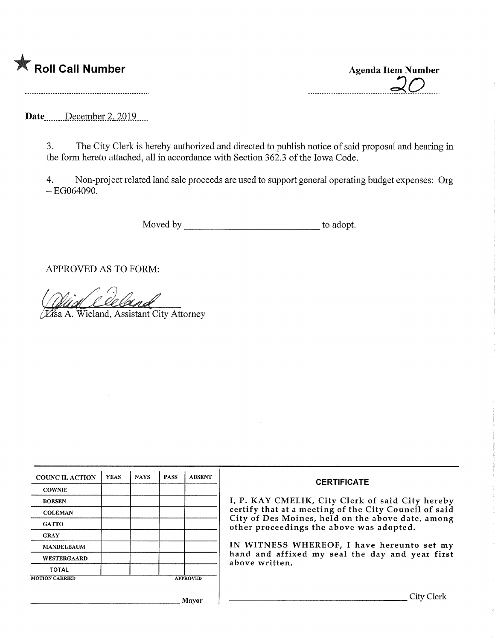

Roll Call Number<br>
Agenda Item Number<br>
Agenda Item Number<br>
Agenda Item Number

Date December 2, 2019

3. The City Clerk is hereby authorized and directed to publish notice of said proposal and hearing in the form hereto attached, all in accordance with Section 362.3 of the Iowa Code.

4. Non-project related land sale proceeds are used to support general operating budget expenses: Org  $-EG064090.$ 

Moved by to adopt.

APPROVED AS TO FORM:

^Sa A. Wieland, Assistant City Attorney

| <b>COUNCIL ACTION</b> | <b>YEAS</b> | <b>NAYS</b> | <b>PASS</b> | <b>ABSENT</b>   | <b>CERTIFICATE</b>                                                                                                                                     |  |  |
|-----------------------|-------------|-------------|-------------|-----------------|--------------------------------------------------------------------------------------------------------------------------------------------------------|--|--|
| <b>COWNIE</b>         |             |             |             |                 |                                                                                                                                                        |  |  |
| <b>BOESEN</b>         |             |             |             |                 | I, P. KAY CMELIK, City Clerk of said City hereby                                                                                                       |  |  |
| <b>COLEMAN</b>        |             |             |             |                 | certify that at a meeting of the City Council of said<br>City of Des Moines, held on the above date, among<br>other proceedings the above was adopted. |  |  |
| <b>GATTO</b>          |             |             |             |                 |                                                                                                                                                        |  |  |
| <b>GRAY</b>           |             |             |             |                 |                                                                                                                                                        |  |  |
| <b>MANDELBAUM</b>     |             |             |             |                 | IN WITNESS WHEREOF, I have hereunto set my<br>hand and affixed my seal the day and year first<br>above written.                                        |  |  |
| <b>WESTERGAARD</b>    |             |             |             |                 |                                                                                                                                                        |  |  |
| <b>TOTAL</b>          |             |             |             |                 |                                                                                                                                                        |  |  |
| <b>MOTION CARRIED</b> |             |             |             | <b>APPROVED</b> |                                                                                                                                                        |  |  |
|                       |             |             |             |                 | City Clerl                                                                                                                                             |  |  |
|                       |             |             |             | Mavor           |                                                                                                                                                        |  |  |